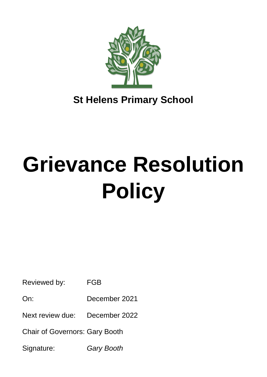

**St Helens Primary School**

# **Grievance Resolution Policy**

Reviewed by: FGB

On: December 2021

Next review due: December 2022

Chair of Governors: Gary Booth

Signature: *Gary Booth*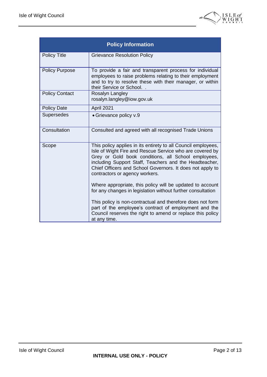

| <b>Policy Information</b> |                                                                                                                                                                                                                                                                                                                                           |  |
|---------------------------|-------------------------------------------------------------------------------------------------------------------------------------------------------------------------------------------------------------------------------------------------------------------------------------------------------------------------------------------|--|
| <b>Policy Title</b>       | <b>Grievance Resolution Policy</b>                                                                                                                                                                                                                                                                                                        |  |
| <b>Policy Purpose</b>     | To provide a fair and transparent process for individual<br>employees to raise problems relating to their employment<br>and to try to resolve these with their manager, or within<br>their Service or School.                                                                                                                             |  |
| <b>Policy Contact</b>     | Rosalyn Langley<br>rosalyn.langley@iow.gov.uk                                                                                                                                                                                                                                                                                             |  |
| <b>Policy Date</b>        | April 2021                                                                                                                                                                                                                                                                                                                                |  |
| Supersedes                | • Grievance policy v.9                                                                                                                                                                                                                                                                                                                    |  |
| Consultation              | Consulted and agreed with all recognised Trade Unions                                                                                                                                                                                                                                                                                     |  |
| Scope                     | This policy applies in its entirety to all Council employees,<br>Isle of Wight Fire and Rescue Service who are covered by<br>Grey or Gold book conditions, all School employees,<br>including Support Staff, Teachers and the Headteacher,<br>Chief Officers and School Governors. It does not apply to<br>contractors or agency workers. |  |
|                           | Where appropriate, this policy will be updated to account<br>for any changes in legislation without further consultation                                                                                                                                                                                                                  |  |
|                           | This policy is non-contractual and therefore does not form<br>part of the employee's contract of employment and the<br>Council reserves the right to amend or replace this policy<br>at any time.                                                                                                                                         |  |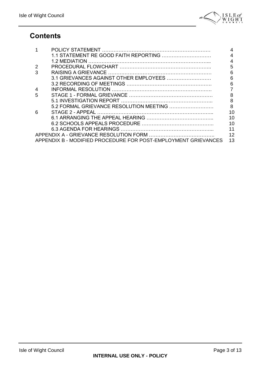

## **Contents**

|   |                                                                | 4  |  |
|---|----------------------------------------------------------------|----|--|
|   |                                                                | 4  |  |
|   | 1.2 MEDIATION                                                  | 4  |  |
|   |                                                                | 5  |  |
| 3 |                                                                | 6  |  |
|   | 3.1 GRIEVANCES AGAINST OTHER EMPLOYEES                         | 6  |  |
|   |                                                                | 6  |  |
|   |                                                                |    |  |
| 5 |                                                                | 8  |  |
|   |                                                                | 8  |  |
|   |                                                                | 8  |  |
| 6 |                                                                | 10 |  |
|   |                                                                | 10 |  |
|   |                                                                | 10 |  |
|   |                                                                | 11 |  |
|   | 12                                                             |    |  |
|   | APPENDIX B - MODIFIED PROCEDURE FOR POST-EMPLOYMENT GRIEVANCES | 13 |  |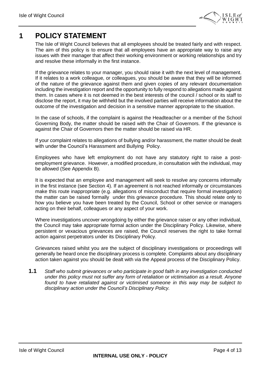

## **1 POLICY STATEMENT**

The Isle of Wight Council believes that all employees should be treated fairly and with respect. The aim of this policy is to ensure that all employees have an appropriate way to raise any issues with their manager that affect their working environment or working relationships and try and resolve these informally in the first instance.

If the grievance relates to your manager, you should raise it with the next level of management. If it relates to a work colleague, or colleagues, you should be aware that they will be informed of the nature of the grievance against them and given copies of any relevant documentation including the investigation report and the opportunity to fully respond to allegations made against them. In cases where it is not deemed in the best interests of the council / school or its staff to disclose the report, it may be withheld but the involved parties will receive information about the outcome of the investigation and decision in a sensitive manner appropriate to the situation.

In the case of schools, if the complaint is against the Headteacher or a member of the School Governing Body, the matter should be raised with the Chair of Governors. If the grievance is against the Chair of Governors then the matter should be raised via HR.

If your complaint relates to allegations of bullying and/or harassment, the matter should be dealt with under the Council's Harassment and Bullying Policy.

Employees who have left employment do not have any statutory right to raise a postemployment grievance. However, a modified procedure, in consultation with the individual, may be allowed (See Appendix B).

It is expected that an employee and management will seek to resolve any concerns informally in the first instance (see Section 4). If an agreement is not reached informally or circumstances make this route inappropriate (e.g. allegations of misconduct that require formal investigation) the matter can be raised formally under this grievance procedure. This should relate only to how you believe you have been treated by the Council, School or other service or managers acting on their behalf, colleagues or any aspect of your work.

Where investigations uncover wrongdoing by either the grievance raiser or any other individual, the Council may take appropriate formal action under the Disciplinary Policy. Likewise, where persistent or vexacious grievances are raised, the Council reserves the right to take formal action against perpetrators under its Disciplinary Policy.

Grievances raised whilst you are the subject of disciplinary investigations or proceedings will generally be heard once the disciplinary process is complete. Complaints about any disciplinary action taken against you should be dealt with via the Appeal process of the Disciplinary Policy.

**1.1** *Staff who submit grievances or who participate in good faith in any investigation conducted under this policy must not suffer any form of retaliation or victimisation as a result. Anyone found to have retaliated against or victimised someone in this way may be subject to disciplinary action under the Council's Disciplinary Policy.*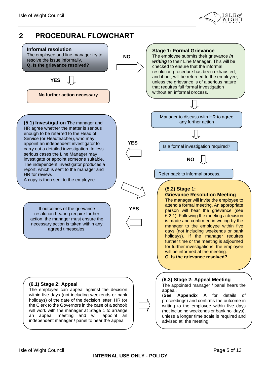

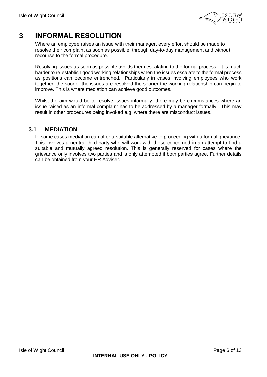

## **3 INFORMAL RESOLUTION**

Where an employee raises an issue with their manager, every effort should be made to resolve their complaint as soon as possible, through day-to-day management and without recourse to the formal procedure.

Resolving issues as soon as possible avoids them escalating to the formal process. It is much harder to re-establish good working relationships when the issues escalate to the formal process as positions can become entrenched. Particularly in cases involving employees who work together, the sooner the issues are resolved the sooner the working relationship can begin to improve. This is where mediation can achieve good outcomes.

Whilst the aim would be to resolve issues informally, there may be circumstances where an issue raised as an informal complaint has to be addressed by a manager formally. This may result in other procedures being invoked e.g. where there are misconduct issues.

#### **3.1 MEDIATION**

In some cases mediation can offer a suitable alternative to proceeding with a formal grievance. This involves a neutral third party who will work with those concerned in an attempt to find a suitable and mutually agreed resolution. This is generally reserved for cases where the grievance only involves two parties and is only attempted if both parties agree. Further details can be obtained from your HR Adviser.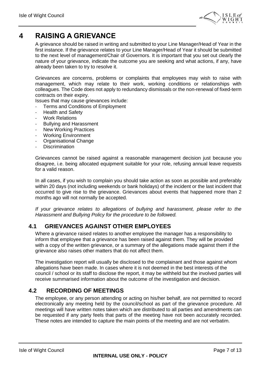

## **4 RAISING A GRIEVANCE**

A grievance should be raised in writing and submitted to your Line Manager/Head of Year in the first instance. If the grievance relates to your Line Manager/Head of Year it should be submitted to the next level of management/Chair of Governors. It is important that you set out clearly the nature of your grievance, indicate the outcome you are seeking and what actions, if any, have already been taken to try to resolve it.

Grievances are concerns, problems or complaints that employees may wish to raise with management, which may relate to their work, working conditions or relationships with colleagues. The Code does not apply to redundancy dismissals or the non-renewal of fixed-term contracts on their expiry.

Issues that may cause grievances include:

- Terms and Conditions of Employment
- Health and Safety
- Work Relations
- Bullying and Harassment
- **New Working Practices**
- Working Environment
- Organisational Change
- Discrimination

Grievances cannot be raised against a reasonable management decision just because you disagree, i.e. being allocated equipment suitable for your role, refusing annual leave requests for a valid reason.

In all cases, if you wish to complain you should take action as soon as possible and preferably within 20 days (not including weekends or bank holidays) of the incident or the last incident that occurred to give rise to the grievance. Grievances about events that happened more than 2 months ago will not normally be accepted.

*If your grievance relates to allegations of bullying and harassment, please refer to the Harassment and Bullying Policy for the procedure to be followed.*

### **4.1 GRIEVANCES AGAINST OTHER EMPLOYEES**

Where a grievance raised relates to another employee the manager has a responsibility to inform that employee that a grievance has been raised against them. They will be provided with a copy of the written grievance, or a summary of the allegations made against them if the grievance also raises other matters that do not affect them.

The investigation report will usually be disclosed to the complainant and those against whom allegations have been made. In cases where it is not deemed in the best interests of the council / school or its staff to disclose the report, it may be withheld but the involved parties will receive summarised information about the outcome of the investigation and decision.

### **4.2 RECORDING OF MEETINGS**

The employee, or any person attending or acting on his/her behalf, are not permitted to record electronically any meeting held by the council/school as part of the grievance procedure. All meetings will have written notes taken which are distributed to all parties and amendments can be requested if any party feels that parts of the meeting have not been accurately recorded. These notes are intended to capture the main points of the meeting and are not verbatim.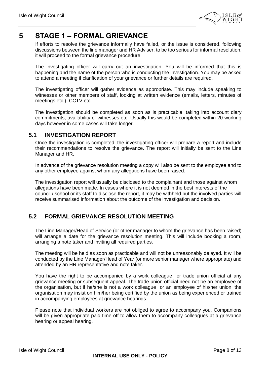

## **5 STAGE 1 – FORMAL GRIEVANCE**

If efforts to resolve the grievance informally have failed, or the issue is considered, following discussions between the line manager and HR Adviser, to be too serious for informal resolution, it will proceed to the formal grievance procedure.

The investigating officer will carry out an investigation. You will be informed that this is happening and the name of the person who is conducting the investigation. You may be asked to attend a meeting if clarification of your grievance or further details are required.

The investigating officer will gather evidence as appropriate. This may include speaking to witnesses or other members of staff, looking at written evidence (emails, letters, minutes of meetings etc.), CCTV etc.

The investigation should be completed as soon as is practicable, taking into account diary commitments, availability of witnesses etc. Usually this would be completed within 20 working days however in some cases will take longer.

### **5.1 INVESTIGATION REPORT**

Once the investigation is completed, the investigating officer will prepare a report and include their recommendations to resolve the grievance. The report will initially be sent to the Line Manager and HR.

In advance of the grievance resolution meeting a copy will also be sent to the employee and to any other employee against whom any allegations have been raised.

The investigation report will usually be disclosed to the complainant and those against whom allegations have been made. In cases where it is not deemed in the best interests of the council / school or its staff to disclose the report, it may be withheld but the involved parties will receive summarised information about the outcome of the investigation and decision.

## **5.2 FORMAL GRIEVANCE RESOLUTION MEETING**

The Line Manager/Head of Service (or other manager to whom the grievance has been raised) will arrange a date for the grievance resolution meeting. This will include booking a room, arranging a note taker and inviting all required parties.

The meeting will be held as soon as practicable and will not be unreasonably delayed. It will be conducted by the Line Manager/Head of Year (or more senior manager where appropriate) and attended by an HR representative and note taker.

You have the right to be accompanied by a work colleague or trade union official at any grievance meeting or subsequent appeal. The trade union official need not be an employee of the organisation, but if he/she is not a work colleague or an employee of his/her union, the organisation may insist on him/her being certified by the union as being experienced or trained in accompanying employees at grievance hearings.

Please note that individual workers are not obliged to agree to accompany you. Companions will be given appropriate paid time off to allow them to accompany colleagues at a grievance hearing or appeal hearing.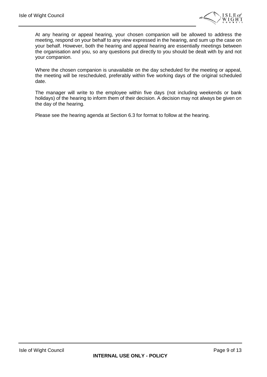

At any hearing or appeal hearing, your chosen companion will be allowed to address the meeting, respond on your behalf to any view expressed in the hearing, and sum up the case on your behalf. However, both the hearing and appeal hearing are essentially meetings between the organisation and you, so any questions put directly to you should be dealt with by and not your companion.

Where the chosen companion is unavailable on the day scheduled for the meeting or appeal, the meeting will be rescheduled, preferably within five working days of the original scheduled date.

The manager will write to the employee within five days (not including weekends or bank holidays) of the hearing to inform them of their decision. A decision may not always be given on the day of the hearing.

Please see the hearing agenda at Section 6.3 for format to follow at the hearing.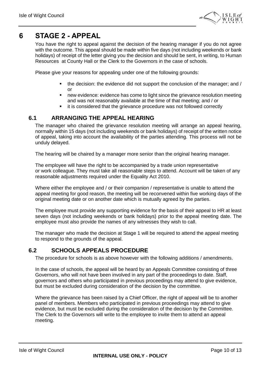

## **6 STAGE 2 - APPEAL**

You have the right to appeal against the decision of the hearing manager if you do not agree with the outcome. This appeal should be made within five days (not including weekends or bank holidays) of receipt of the letter giving you the decision and should be sent, in writing, to Human Resources at County Hall or the Clerk to the Governors in the case of schools.

Please give your reasons for appealing under one of the following grounds:

- the decision: the evidence did not support the conclusion of the manager; and / or
- new evidence: evidence has come to light since the grievance resolution meeting and was not reasonably available at the time of that meeting; and / or
- it is considered that the grievance procedure was not followed correctly

### **6.1 ARRANGING THE APPEAL HEARING**

The manager who chaired the grievance resolution meeting will arrange an appeal hearing, normally within 15 days (not including weekends or bank holidays) of receipt of the written notice of appeal, taking into account the availability of the parties attending. This process will not be unduly delayed.

The hearing will be chaired by a manager more senior than the original hearing manager.

The employee will have the right to be accompanied by a trade union representative or work colleague. They must take all reasonable steps to attend. Account will be taken of any reasonable adjustments required under the Equality Act 2010.

Where either the employee and / or their companion / representative is unable to attend the appeal meeting for good reason, the meeting will be reconvened within five working days of the original meeting date or on another date which is mutually agreed by the parties.

The employee must provide any supporting evidence for the basis of their appeal to HR at least seven days (not including weekends or bank holidays) prior to the appeal meeting date. The employee must also provide the names of any witnesses they wish to call.

The manager who made the decision at Stage 1 will be required to attend the appeal meeting to respond to the grounds of the appeal.

#### **6.2 SCHOOLS APPEALS PROCEDURE**

The procedure for schools is as above however with the following additions / amendments.

In the case of schools, the appeal will be heard by an Appeals Committee consisting of three Governors, who will not have been involved in any part of the proceedings to date. Staff, governors and others who participated in previous proceedings may attend to give evidence, but must be excluded during consideration of the decision by the committee.

Where the grievance has been raised by a Chief Officer, the right of appeal will be to another panel of members. Members who participated in previous proceedings may attend to give evidence, but must be excluded during the consideration of the decision by the Committee. The Clerk to the Governors will write to the employee to invite them to attend an appeal meeting.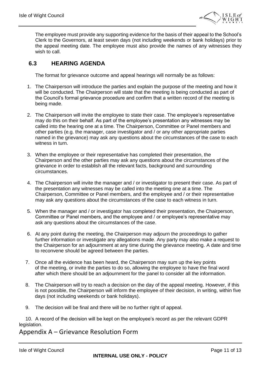

The employee must provide any supporting evidence for the basis of their appeal to the School's Clerk to the Governors, at least seven days (not including weekends or bank holidays) prior to the appeal meeting date. The employee must also provide the names of any witnesses they wish to call.

## **6.3 HEARING AGENDA**

The format for grievance outcome and appeal hearings will normally be as follows:

- 1. The Chairperson will introduce the parties and explain the purpose of the meeting and how it will be conducted. The Chairperson will state that the meeting is being conducted as part of the Council's formal grievance procedure and confirm that a written record of the meeting is being made.
- 2. The Chairperson will invite the employee to state their case. The employee's representative may do this on their behalf. As part of the employee's presentation any witnesses may be called into the hearing one at a time. The Chairperson, Committee or Panel members and other parties (e.g. the manager, case investigator and / or any other appropriate parties named in the grievance) may ask any questions about the circumstances of the case to each witness in turn.
- 3. When the employee or their representative has completed their presentation, the Chairperson and the other parties may ask any questions about the circumstances of the grievance in order to establish all the relevant facts, background and surrounding circumstances.
- 4. The Chairperson will invite the manager and / or investigator to present their case. As part of the presentation any witnesses may be called into the meeting one at a time. The Chairperson, Committee or Panel members, and the employee and / or their representative may ask any questions about the circumstances of the case to each witness in turn.
- 5. When the manager and / or investigator has completed their presentation, the Chairperson, Committee or Panel members, and the employee and / or employee's representative may ask any questions about the circumstances of the case.
- 6. At any point during the meeting, the Chairperson may adjourn the proceedings to gather further information or investigate any allegations made. Any party may also make a request to the Chairperson for an adjournment at any time during the grievance meeting. A date and time to reconvene should be agreed between the parties.
- 7. Once all the evidence has been heard, the Chairperson may sum up the key points of the meeting, or invite the parties to do so, allowing the employee to have the final word after which there should be an adjournment for the panel to consider all the information.
- 8. The Chairperson will try to reach a decision on the day of the appeal meeting. However, if this is not possible, the Chairperson will inform the employee of their decision, in writing, within five days (not including weekends or bank holidays).
- 9. The decision will be final and there will be no further right of appeal.

10. A record of the decision will be kept on the employee's record as per the relevant GDPR legislation.

### Appendix A – Grievance Resolution Form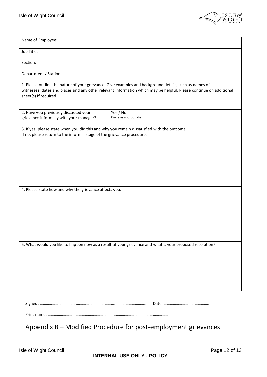

| Name of Employee:                                                                                                                                                                                                                                     |                                                                                                          |  |  |  |
|-------------------------------------------------------------------------------------------------------------------------------------------------------------------------------------------------------------------------------------------------------|----------------------------------------------------------------------------------------------------------|--|--|--|
| Job Title:                                                                                                                                                                                                                                            |                                                                                                          |  |  |  |
| Section:                                                                                                                                                                                                                                              |                                                                                                          |  |  |  |
| Department / Station:                                                                                                                                                                                                                                 |                                                                                                          |  |  |  |
| 1. Please outline the nature of your grievance. Give examples and background details, such as names of<br>witnesses, dates and places and any other relevant information which may be helpful. Please continue on additional<br>sheet(s) if required. |                                                                                                          |  |  |  |
| 2. Have you previously discussed your<br>grievance informally with your manager?                                                                                                                                                                      | Yes / No<br>Circle as appropriate                                                                        |  |  |  |
| 3. If yes, please state when you did this and why you remain dissatisfied with the outcome.<br>If no, please return to the informal stage of the grievance procedure.                                                                                 |                                                                                                          |  |  |  |
| 4. Please state how and why the grievance affects you.                                                                                                                                                                                                |                                                                                                          |  |  |  |
|                                                                                                                                                                                                                                                       | 5. What would you like to happen now as a result of your grievance and what is your proposed resolution? |  |  |  |

Print name: ………………………………………………………………………………………………………….

Appendix B – Modified Procedure for post-employment grievances